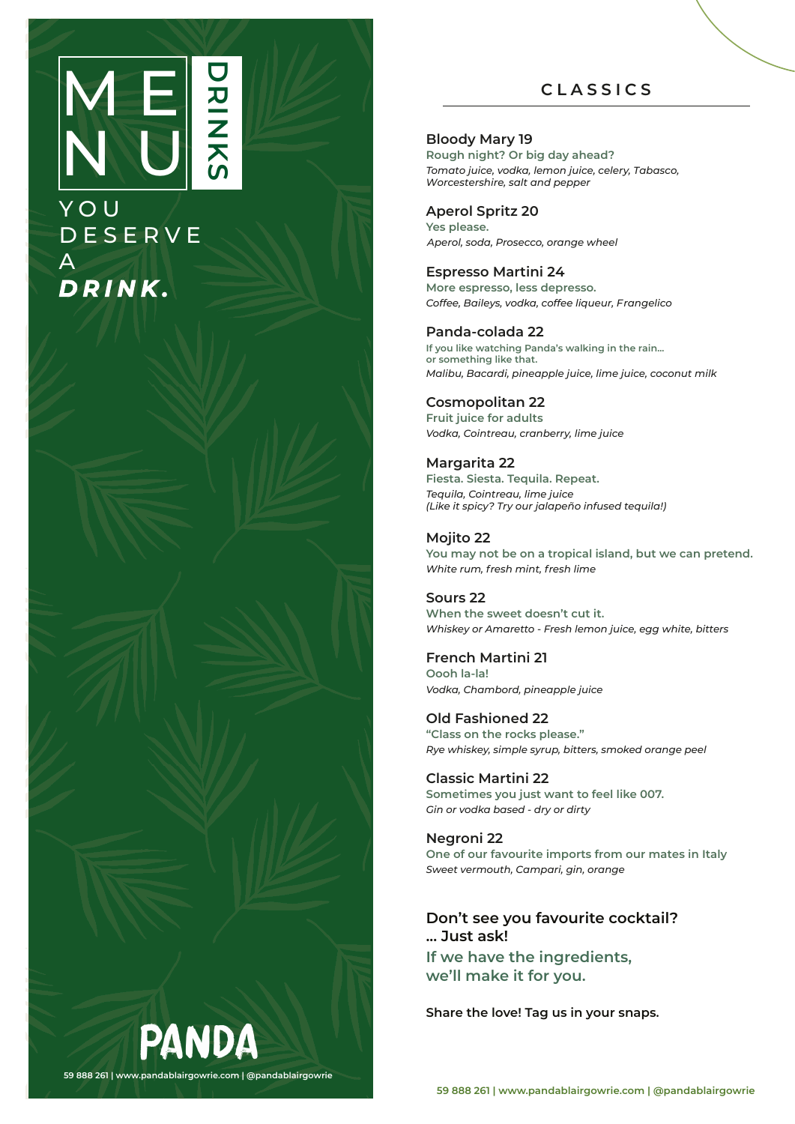## M E N U DR<br>N<br>N **K** <u>(</u>

## Y O U **DESERVE** A *DRINK .*

## **C L ASSI C S**

## **Bloody Mary 19**

**Rough night? Or big day ahead?** *Tomato juice, vodka, lemon juice, celery, Tabasco, Worcestershire, salt and pepper*

## **Aperol Spritz 20**

**Yes please.** *Aperol, soda, Prosecco, orange wheel* 

## **Espresso Martini 24**

**More espresso, less depresso.** *Coffee, Baileys, vodka, coffee liqueur, Frangelico* 

## **Panda-colada 22**

**If you like watching Panda's walking in the rain... or something like that.** *Malibu, Bacardi, pineapple juice, lime juice, coconut milk* 

## **Cosmopolitan 22**

**Fruit juice for adults** *Vodka, Cointreau, cranberry, lime juice* 

## **Margarita 22**

**Fiesta. Siesta. Tequila. Repeat.** *Tequila, Cointreau, lime juice (Like it spicy? Try our jalapeño infused tequila!)*

## **Mojito 22**

**You may not be on a tropical island, but we can pretend.** *White rum, fresh mint, fresh lime*

## **Sours 22**

**When the sweet doesn't cut it.** *Whiskey or Amaretto - Fresh lemon juice, egg white, bitters* 

## **French Martini 21**

**Oooh la-la!** *Vodka, Chambord, pineapple juice* 

**Old Fashioned 22 "Class on the rocks please."** *Rye whiskey, simple syrup, bitters, smoked orange peel* 

**Classic Martini 22 Sometimes you just want to feel like 007.** *Gin or vodka based - dry or dirty* 

### **Negroni 22 One of our favourite imports from our mates in Italy** *Sweet vermouth, Campari, gin, orange*

## **Don't see you favourite cocktail? ... Just ask! If we have the ingredients,**

**we'll make it for you.**

**Share the love! Tag us in your snaps.**

PANDA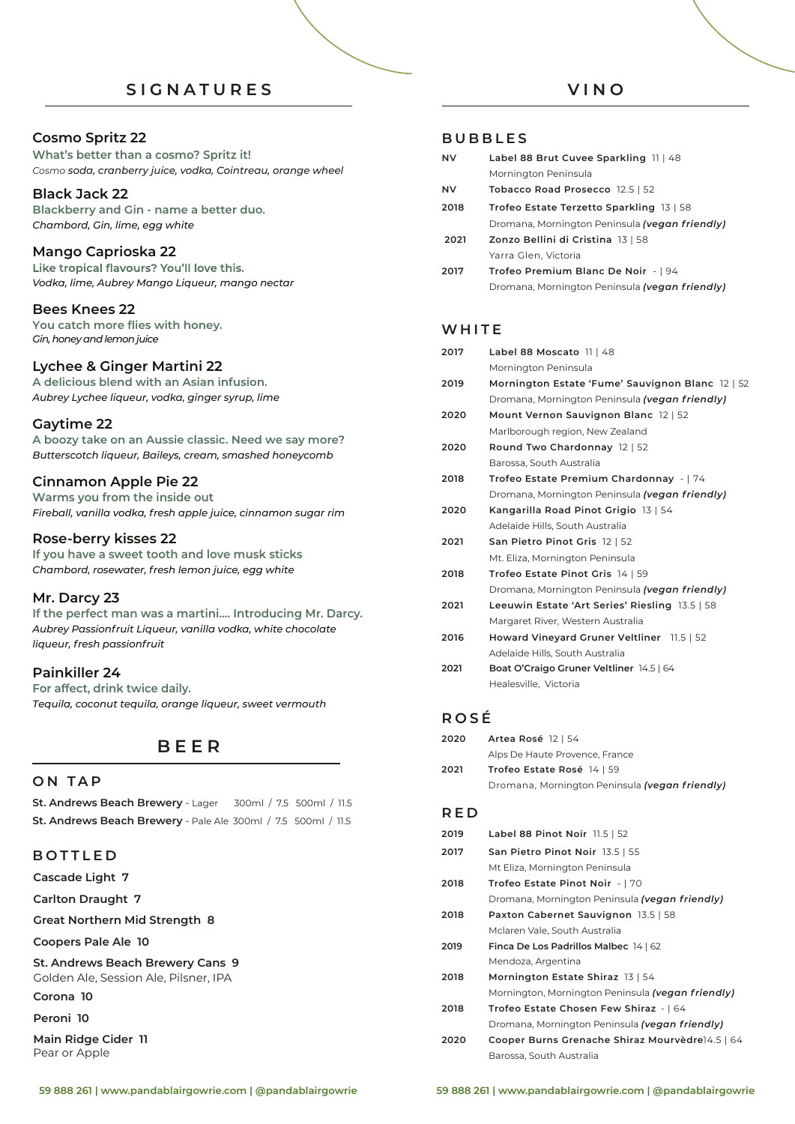## **S IGN A T U R E S**

## **Cosmo Spritz 22**

**What's better than a cosmo? Spritz it!** *Cosmo soda, cranberry juice, vodka, Cointreau, orange wheel* 

## **Black Jack 22**

**Blackberry and Gin - name a better duo.** *Chambord, Gin, lime, egg white* 

## **Mango Caprioska 22**

Like tropical flavours? You'll love this. *Vodka, lime, Aubrey Mango Liqueur, mango nectar*

## **Bees Knees 22**

*Gin, honey and lemon juice* **You catch more flies with honey.**

## **Lychee & Ginger Martini 22**

**A delicious blend with an Asian infusion.** *Aubrey Lychee liqueur, vodka, ginger syrup, lime* 

## **Gaytime 22**

**A boozy take on an Aussie classic. Need we say more?**  *Butterscotch liqueur, Baileys, cream, smashed honeycomb*

## **Cinnamon Apple Pie 22**

**Warms you from the inside out** *Fireball, vanilla vodka, fresh apple juice, cinnamon sugar rim* 

## **Rose-berry kisses 22**

**If you have a sweet tooth and love musk sticks**  *Chambord, rosewater, fresh lemon juice, egg white* 

## **Mr. Darcy 23**

**If the perfect man was a martini.... Introducing Mr. Darcy.** *Aubrey Passionfruit Liqueur, vanilla vodka, white chocolate liqueur, fresh passionfruit*

## **Painkiller 24**

**For affect, drink twice daily.** *Tequila, coconut tequila, orange liqueur, sweet vermouth*

## **BEE R**

## **O N T A P**

**St. Andrews Beach Brewery** - Lager 300ml / 7.5 500ml / 11.5 **St. Andrews Beach Brewery** - Pale Ale 300ml / 7.5 500ml / 11.5

## **B O T TLE D**

**Cascade Light 7**

**Carlton Draught 7** 

**Great Northern Mid Strength 8** 

**Coopers Pale Ale 10**

#### **St. Andrews Beach Brewery Cans 9** Golden Ale, Session Ale, Pilsner, IPA

**Corona 10**

**Peroni 10**

**Main Ridge Cider 11**  Pear or Apple

## **V I N O**

## **BUBBLE S**

| <b>NV</b> | Label 88 Brut Cuvee Sparkling 11   48          |
|-----------|------------------------------------------------|
|           | Mornington Peninsula                           |
| <b>NV</b> | Tobacco Road Prosecco 12.5   52                |
| 2018      | Trofeo Estate Terzetto Sparkling 13   58       |
|           | Dromana, Mornington Peninsula (vegan friendly) |
| 2021      | Zonzo Bellini di Cristina 13   58              |
|           | Yarra Glen, Victoria                           |
| 2017      | Trofeo Premium Blanc De Noir -   94            |

Dromana, Mornington Peninsula *(vegan f riendly)*

## **WHIT E**

| 2017 | Label 88 Moscato 11   48                         |
|------|--------------------------------------------------|
|      | Mornington Peninsula                             |
| 2019 | Mornington Estate 'Fume' Sauvignon Blanc 12   52 |
|      | Dromana, Mornington Peninsula (vegan friendly)   |
| 2020 | Mount Vernon Sauvignon Blanc 12   52             |
|      | Marlborough region, New Zealand                  |
| 2020 | Round Two Chardonnay 12   52                     |
|      | Barossa, South Australia                         |
| 2018 | Trofeo Estate Premium Chardonnay -   74          |
|      | Dromana, Mornington Peninsula (vegan friendly)   |
| 2020 | Kangarilla Road Pinot Grigio 13   54             |
|      | Adelaide Hills, South Australia                  |
| 2021 | San Pietro Pinot Gris 12   52                    |
|      | Mt. Eliza, Mornington Peninsula                  |
| 2018 | Trofeo Estate Pinot Gris 14   59                 |
|      | Dromana, Mornington Peninsula (vegan friendly)   |
| 2021 | Leeuwin Estate 'Art Series' Riesling 13.5   58   |
|      | Margaret River, Western Australia                |
|      |                                                  |

- **2016 Howard Vineyard Gruner Veltliner** 11.5 | 52 Adelaide Hills, South Australia
- **2021 Boat O'Craigo Gruner Veltliner** 14.5 | 64 Healesville, Victoria

## **ROS É**

| 2020 | Artea Rosé 12   54                             |
|------|------------------------------------------------|
|      | Alps De Haute Provence, France                 |
| 2021 | Trofeo Estate Rosé 14   59                     |
|      | Dromana, Mornington Peninsula (vegan friendly) |

## **R E D**

| 2019 | Label 88 Pinot Noir 11.5   52                            |
|------|----------------------------------------------------------|
| 2017 | San Pietro Pinot Noir 13.5   55                          |
|      | Mt Eliza, Mornington Peninsula                           |
| 2018 | Trofeo Estate Pinot Noir -   70                          |
|      | Dromana, Mornington Peninsula (vegan friendly)           |
| 2018 | Paxton Cabernet Sauvignon 13.5   58                      |
|      | Mclaren Vale, South Australia                            |
| 2019 | Finca De Los Padrillos Malbec 14   62                    |
|      | Mendoza, Argentina                                       |
| 2018 | Mornington Estate Shiraz 13   54                         |
|      | Mornington, Mornington Peninsula <b>(vegan friendly)</b> |
| 2018 | Trofeo Estate Chosen Few Shiraz -   64                   |
|      | Dromana, Mornington Peninsula (vegan friendly)           |
| 2020 | Cooper Burns Grenache Shiraz Mourvèdre14.5   64          |
|      | Barossa, South Australia                                 |
|      |                                                          |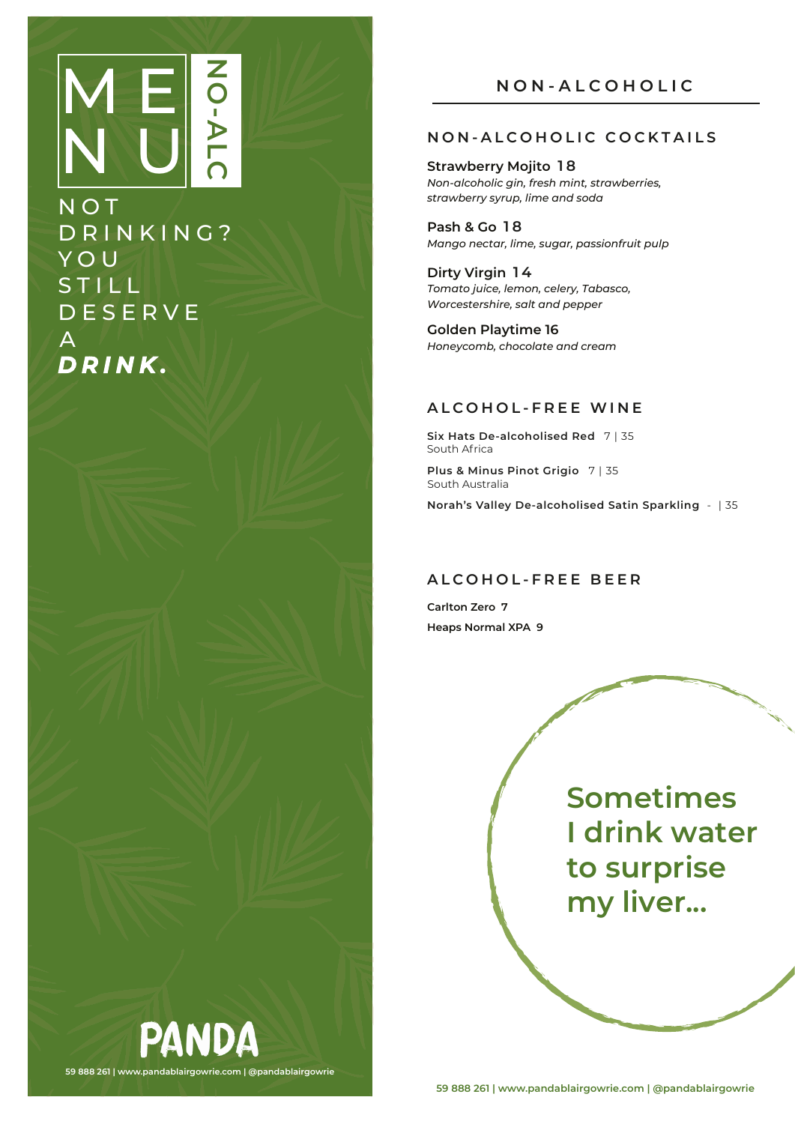# ME**OULE** N U **NO-ALC**

N O T DRINKING ? Y O U **STILL DESERVE**  $\mathsf{A}^{\!\top}$ *DRINK .*

**59 888 261 | www.pandablairgowrie.com | @pandablairgowrie**

PANDA

## **NON-ALCOHOLIC COCKTAILS**

**Strawberry Mojito 18** *Non-alcoholic gin, fresh mint, strawberries, strawberry syrup, lime and soda* 

**Pash & Go 18** *Mango nectar, lime, sugar, passionfruit pulp*

**Dirty Virgin 14** *Tomato juice, lemon, celery, Tabasco, Worcestershire, salt and pepper*

**Golden Playtime 16** *Honeycomb, chocolate and cream*

## **A L C O H O L -FREE WI N E**

**Six Hats De-alcoholised Red** 7 | 35 South Africa **Plus & Minus Pinot Grigio** 7 | 35 South Australia

**Norah's Valley De-alcoholised Satin Sparkling** - | 35

## **A L C O H O L -FREE B E E R**

**Carlton Zero 7 Heaps Normal XPA 9**

> **Sometimes I drink water to surprise my liver...**